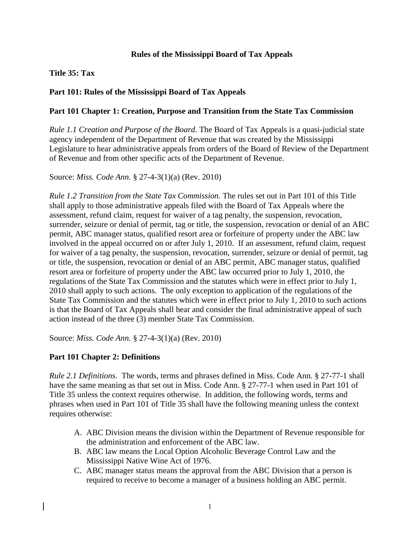## **Rules of the Mississippi Board of Tax Appeals**

## **Title 35: Tax**

# **Part 101: Rules of the Mississippi Board of Tax Appeals**

### **Part 101 Chapter 1: Creation, Purpose and Transition from the State Tax Commission**

*Rule 1.1 Creation and Purpose of the Board.* The Board of Tax Appeals is a quasi-judicial state agency independent of the Department of Revenue that was created by the Mississippi Legislature to hear administrative appeals from orders of the Board of Review of the Department of Revenue and from other specific acts of the Department of Revenue.

Source: *Miss. Code Ann.* § 27-4-3(1)(a) (Rev. 2010)

*Rule 1.2 Transition from the State Tax Commission.* The rules set out in Part 101 of this Title shall apply to those administrative appeals filed with the Board of Tax Appeals where the assessment, refund claim, request for waiver of a tag penalty, the suspension, revocation, surrender, seizure or denial of permit, tag or title, the suspension, revocation or denial of an ABC permit, ABC manager status, qualified resort area or forfeiture of property under the ABC law involved in the appeal occurred on or after July 1, 2010. If an assessment, refund claim, request for waiver of a tag penalty, the suspension, revocation, surrender, seizure or denial of permit, tag or title, the suspension, revocation or denial of an ABC permit, ABC manager status, qualified resort area or forfeiture of property under the ABC law occurred prior to July 1, 2010, the regulations of the State Tax Commission and the statutes which were in effect prior to July 1, 2010 shall apply to such actions. The only exception to application of the regulations of the State Tax Commission and the statutes which were in effect prior to July 1, 2010 to such actions is that the Board of Tax Appeals shall hear and consider the final administrative appeal of such action instead of the three (3) member State Tax Commission.

Source: *Miss. Code Ann.* § 27-4-3(1)(a) (Rev. 2010)

### **Part 101 Chapter 2: Definitions**

*Rule 2.1 Definitions*. The words, terms and phrases defined in Miss. Code Ann. § 27-77-1 shall have the same meaning as that set out in Miss. Code Ann. § 27-77-1 when used in Part 101 of Title 35 unless the context requires otherwise. In addition, the following words, terms and phrases when used in Part 101 of Title 35 shall have the following meaning unless the context requires otherwise:

- A. ABC Division means the division within the Department of Revenue responsible for the administration and enforcement of the ABC law.
- B. ABC law means the Local Option Alcoholic Beverage Control Law and the Mississippi Native Wine Act of 1976.
- C. ABC manager status means the approval from the ABC Division that a person is required to receive to become a manager of a business holding an ABC permit.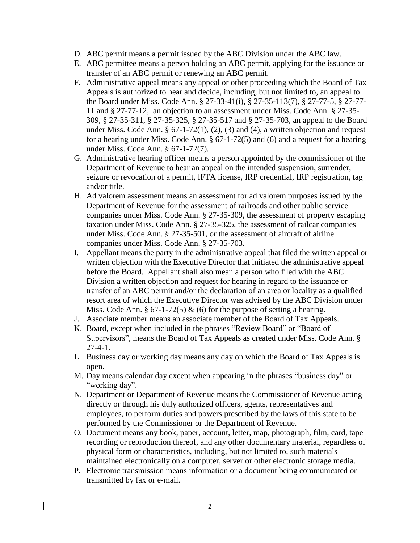- D. ABC permit means a permit issued by the ABC Division under the ABC law.
- E. ABC permittee means a person holding an ABC permit, applying for the issuance or transfer of an ABC permit or renewing an ABC permit.
- F. Administrative appeal means any appeal or other proceeding which the Board of Tax Appeals is authorized to hear and decide, including, but not limited to, an appeal to the Board under Miss. Code Ann. § 27-33-41(i), § 27-35-113(7), § 27-77-5, § 27-77- 11 and § 27-77-12, an objection to an assessment under Miss. Code Ann. § 27-35- 309, § 27-35-311, § 27-35-325, § 27-35-517 and § 27-35-703, an appeal to the Board under Miss. Code Ann.  $\S 67-1-72(1)$ ,  $(2)$ ,  $(3)$  and  $(4)$ , a written objection and request for a hearing under Miss. Code Ann. § 67-1-72(5) and (6) and a request for a hearing under Miss. Code Ann. § 67-1-72(7).
- G. Administrative hearing officer means a person appointed by the commissioner of the Department of Revenue to hear an appeal on the intended suspension, surrender, seizure or revocation of a permit, IFTA license, IRP credential, IRP registration, tag and/or title.
- H. Ad valorem assessment means an assessment for ad valorem purposes issued by the Department of Revenue for the assessment of railroads and other public service companies under Miss. Code Ann. § 27-35-309, the assessment of property escaping taxation under Miss. Code Ann. § 27-35-325, the assessment of railcar companies under Miss. Code Ann. § 27-35-501, or the assessment of aircraft of airline companies under Miss. Code Ann. § 27-35-703.
- I. Appellant means the party in the administrative appeal that filed the written appeal or written objection with the Executive Director that initiated the administrative appeal before the Board. Appellant shall also mean a person who filed with the ABC Division a written objection and request for hearing in regard to the issuance or transfer of an ABC permit and/or the declaration of an area or locality as a qualified resort area of which the Executive Director was advised by the ABC Division under Miss. Code Ann.  $\S 67-1-72(5) \& (6)$  for the purpose of setting a hearing.
- J. Associate member means an associate member of the Board of Tax Appeals.
- K. Board, except when included in the phrases "Review Board" or "Board of Supervisors", means the Board of Tax Appeals as created under Miss. Code Ann. § 27-4-1.
- L. Business day or working day means any day on which the Board of Tax Appeals is open.
- M. Day means calendar day except when appearing in the phrases "business day" or "working day".
- N. Department or Department of Revenue means the Commissioner of Revenue acting directly or through his duly authorized officers, agents, representatives and employees, to perform duties and powers prescribed by the laws of this state to be performed by the Commissioner or the Department of Revenue.
- O. Document means any book, paper, account, letter, map, photograph, film, card, tape recording or reproduction thereof, and any other documentary material, regardless of physical form or characteristics, including, but not limited to, such materials maintained electronically on a computer, server or other electronic storage media.
- P. Electronic transmission means information or a document being communicated or transmitted by fax or e-mail.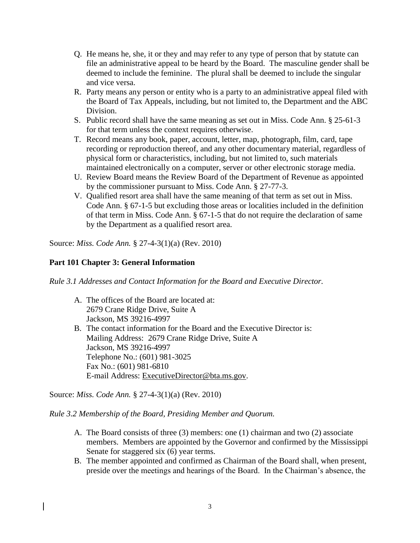- Q. He means he, she, it or they and may refer to any type of person that by statute can file an administrative appeal to be heard by the Board. The masculine gender shall be deemed to include the feminine. The plural shall be deemed to include the singular and vice versa.
- R. Party means any person or entity who is a party to an administrative appeal filed with the Board of Tax Appeals, including, but not limited to, the Department and the ABC Division.
- S. Public record shall have the same meaning as set out in Miss. Code Ann. § 25-61-3 for that term unless the context requires otherwise.
- T. Record means any book, paper, account, letter, map, photograph, film, card, tape recording or reproduction thereof, and any other documentary material, regardless of physical form or characteristics, including, but not limited to, such materials maintained electronically on a computer, server or other electronic storage media.
- U. Review Board means the Review Board of the Department of Revenue as appointed by the commissioner pursuant to Miss. Code Ann. § 27-77-3.
- V. Qualified resort area shall have the same meaning of that term as set out in Miss. Code Ann. § 67-1-5 but excluding those areas or localities included in the definition of that term in Miss. Code Ann. § 67-1-5 that do not require the declaration of same by the Department as a qualified resort area.

# **Part 101 Chapter 3: General Information**

*Rule 3.1 Addresses and Contact Information for the Board and Executive Director.*

- A. The offices of the Board are located at: 2679 Crane Ridge Drive, Suite A Jackson, MS 39216-4997
- B. The contact information for the Board and the Executive Director is: Mailing Address: 2679 Crane Ridge Drive, Suite A Jackson, MS 39216-4997 Telephone No.: (601) 981-3025 Fax No.: (601) 981-6810 E-mail Address: [ExecutiveDirector@bta.ms.gov.](mailto:ExecutiveDirector@bta.ms.gov)

Source: *Miss. Code Ann.* § 27-4-3(1)(a) (Rev. 2010)

*Rule 3.2 Membership of the Board, Presiding Member and Quorum.*

- A. The Board consists of three (3) members: one (1) chairman and two (2) associate members. Members are appointed by the Governor and confirmed by the Mississippi Senate for staggered six (6) year terms.
- B. The member appointed and confirmed as Chairman of the Board shall, when present, preside over the meetings and hearings of the Board. In the Chairman's absence, the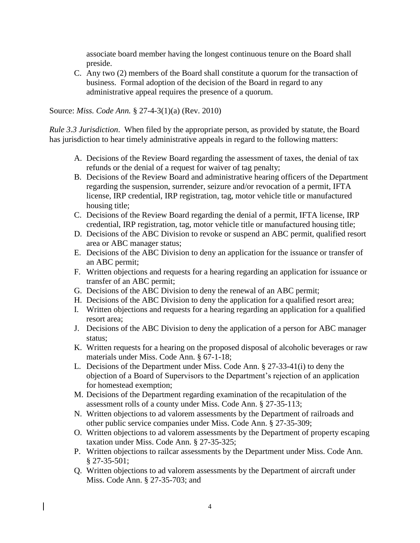associate board member having the longest continuous tenure on the Board shall preside.

C. Any two (2) members of the Board shall constitute a quorum for the transaction of business. Formal adoption of the decision of the Board in regard to any administrative appeal requires the presence of a quorum.

Source: *Miss. Code Ann.* § 27-4-3(1)(a) (Rev. 2010)

*Rule 3.3 Jurisdiction*. When filed by the appropriate person, as provided by statute, the Board has jurisdiction to hear timely administrative appeals in regard to the following matters:

- A. Decisions of the Review Board regarding the assessment of taxes, the denial of tax refunds or the denial of a request for waiver of tag penalty;
- B. Decisions of the Review Board and administrative hearing officers of the Department regarding the suspension, surrender, seizure and/or revocation of a permit, IFTA license, IRP credential, IRP registration, tag, motor vehicle title or manufactured housing title;
- C. Decisions of the Review Board regarding the denial of a permit, IFTA license, IRP credential, IRP registration, tag, motor vehicle title or manufactured housing title;
- D. Decisions of the ABC Division to revoke or suspend an ABC permit, qualified resort area or ABC manager status;
- E. Decisions of the ABC Division to deny an application for the issuance or transfer of an ABC permit;
- F. Written objections and requests for a hearing regarding an application for issuance or transfer of an ABC permit;
- G. Decisions of the ABC Division to deny the renewal of an ABC permit;
- H. Decisions of the ABC Division to deny the application for a qualified resort area;
- I. Written objections and requests for a hearing regarding an application for a qualified resort area;
- J. Decisions of the ABC Division to deny the application of a person for ABC manager status;
- K. Written requests for a hearing on the proposed disposal of alcoholic beverages or raw materials under Miss. Code Ann. § 67-1-18;
- L. Decisions of the Department under Miss. Code Ann. § 27-33-41(i) to deny the objection of a Board of Supervisors to the Department's rejection of an application for homestead exemption;
- M. Decisions of the Department regarding examination of the recapitulation of the assessment rolls of a county under Miss. Code Ann. § 27-35-113;
- N. Written objections to ad valorem assessments by the Department of railroads and other public service companies under Miss. Code Ann. § 27-35-309;
- O. Written objections to ad valorem assessments by the Department of property escaping taxation under Miss. Code Ann. § 27-35-325;
- P. Written objections to railcar assessments by the Department under Miss. Code Ann. § 27-35-501;
- Q. Written objections to ad valorem assessments by the Department of aircraft under Miss. Code Ann. § 27-35-703; and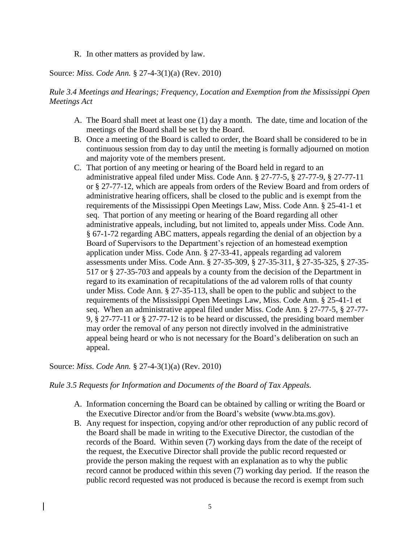R. In other matters as provided by law.

Source: *Miss. Code Ann.* § 27-4-3(1)(a) (Rev. 2010)

*Rule 3.4 Meetings and Hearings; Frequency, Location and Exemption from the Mississippi Open Meetings Act*

- A. The Board shall meet at least one (1) day a month. The date, time and location of the meetings of the Board shall be set by the Board.
- B. Once a meeting of the Board is called to order, the Board shall be considered to be in continuous session from day to day until the meeting is formally adjourned on motion and majority vote of the members present.
- C. That portion of any meeting or hearing of the Board held in regard to an administrative appeal filed under Miss. Code Ann. § 27-77-5, § 27-77-9, § 27-77-11 or § 27-77-12, which are appeals from orders of the Review Board and from orders of administrative hearing officers, shall be closed to the public and is exempt from the requirements of the Mississippi Open Meetings Law, Miss. Code Ann. § 25-41-1 et seq. That portion of any meeting or hearing of the Board regarding all other administrative appeals, including, but not limited to, appeals under Miss. Code Ann. § 67-1-72 regarding ABC matters, appeals regarding the denial of an objection by a Board of Supervisors to the Department's rejection of an homestead exemption application under Miss. Code Ann. § 27-33-41, appeals regarding ad valorem assessments under Miss. Code Ann. § 27-35-309, § 27-35-311, § 27-35-325, § 27-35- 517 or § 27-35-703 and appeals by a county from the decision of the Department in regard to its examination of recapitulations of the ad valorem rolls of that county under Miss. Code Ann. § 27-35-113, shall be open to the public and subject to the requirements of the Mississippi Open Meetings Law, Miss. Code Ann. § 25-41-1 et seq. When an administrative appeal filed under Miss. Code Ann. § 27-77-5, § 27-77- 9, § 27-77-11 or § 27-77-12 is to be heard or discussed, the presiding board member may order the removal of any person not directly involved in the administrative appeal being heard or who is not necessary for the Board's deliberation on such an appeal.

Source: *Miss. Code Ann.* § 27-4-3(1)(a) (Rev. 2010)

*Rule 3.5 Requests for Information and Documents of the Board of Tax Appeals.* 

- A. Information concerning the Board can be obtained by calling or writing the Board or the Executive Director and/or from the Board's website (www.bta.ms.gov).
- B. Any request for inspection, copying and/or other reproduction of any public record of the Board shall be made in writing to the Executive Director, the custodian of the records of the Board. Within seven (7) working days from the date of the receipt of the request, the Executive Director shall provide the public record requested or provide the person making the request with an explanation as to why the public record cannot be produced within this seven (7) working day period. If the reason the public record requested was not produced is because the record is exempt from such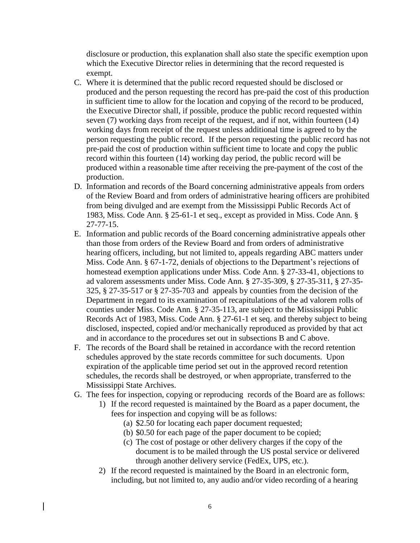disclosure or production, this explanation shall also state the specific exemption upon which the Executive Director relies in determining that the record requested is exempt.

- C. Where it is determined that the public record requested should be disclosed or produced and the person requesting the record has pre-paid the cost of this production in sufficient time to allow for the location and copying of the record to be produced, the Executive Director shall, if possible, produce the public record requested within seven (7) working days from receipt of the request, and if not, within fourteen (14) working days from receipt of the request unless additional time is agreed to by the person requesting the public record. If the person requesting the public record has not pre-paid the cost of production within sufficient time to locate and copy the public record within this fourteen (14) working day period, the public record will be produced within a reasonable time after receiving the pre-payment of the cost of the production.
- D. Information and records of the Board concerning administrative appeals from orders of the Review Board and from orders of administrative hearing officers are prohibited from being divulged and are exempt from the Mississippi Public Records Act of 1983, Miss. Code Ann. § 25-61-1 et seq., except as provided in Miss. Code Ann. § 27-77-15.
- E. Information and public records of the Board concerning administrative appeals other than those from orders of the Review Board and from orders of administrative hearing officers, including, but not limited to, appeals regarding ABC matters under Miss. Code Ann. § 67-1-72, denials of objections to the Department's rejections of homestead exemption applications under Miss. Code Ann. § 27-33-41, objections to ad valorem assessments under Miss. Code Ann. § 27-35-309, § 27-35-311, § 27-35- 325, § 27-35-517 or § 27-35-703 and appeals by counties from the decision of the Department in regard to its examination of recapitulations of the ad valorem rolls of counties under Miss. Code Ann. § 27-35-113, are subject to the Mississippi Public Records Act of 1983, Miss. Code Ann. § 27-61-1 et seq. and thereby subject to being disclosed, inspected, copied and/or mechanically reproduced as provided by that act and in accordance to the procedures set out in subsections B and C above.
- F. The records of the Board shall be retained in accordance with the record retention schedules approved by the state records committee for such documents. Upon expiration of the applicable time period set out in the approved record retention schedules, the records shall be destroyed, or when appropriate, transferred to the Mississippi State Archives.
- G. The fees for inspection, copying or reproducing records of the Board are as follows:
	- 1) If the record requested is maintained by the Board as a paper document, the fees for inspection and copying will be as follows:
		- (a) \$2.50 for locating each paper document requested;
		- (b) \$0.50 for each page of the paper document to be copied;
		- (c) The cost of postage or other delivery charges if the copy of the document is to be mailed through the US postal service or delivered through another delivery service (FedEx, UPS, etc.).
	- 2) If the record requested is maintained by the Board in an electronic form, including, but not limited to, any audio and/or video recording of a hearing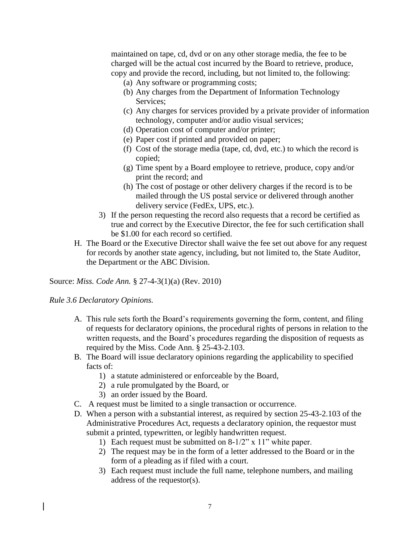maintained on tape, cd, dvd or on any other storage media, the fee to be charged will be the actual cost incurred by the Board to retrieve, produce, copy and provide the record, including, but not limited to, the following:

- (a) Any software or programming costs;
- (b) Any charges from the Department of Information Technology Services;
- (c) Any charges for services provided by a private provider of information technology, computer and/or audio visual services;
- (d) Operation cost of computer and/or printer;
- (e) Paper cost if printed and provided on paper;
- (f) Cost of the storage media (tape, cd, dvd, etc.) to which the record is copied;
- (g) Time spent by a Board employee to retrieve, produce, copy and/or print the record; and
- (h) The cost of postage or other delivery charges if the record is to be mailed through the US postal service or delivered through another delivery service (FedEx, UPS, etc.).
- 3) If the person requesting the record also requests that a record be certified as true and correct by the Executive Director, the fee for such certification shall be \$1.00 for each record so certified.
- H. The Board or the Executive Director shall waive the fee set out above for any request for records by another state agency, including, but not limited to, the State Auditor, the Department or the ABC Division.

Source: *Miss. Code Ann.* § 27-4-3(1)(a) (Rev. 2010)

#### *Rule 3.6 Declaratory Opinions.*

- A. This rule sets forth the Board's requirements governing the form, content, and filing of requests for declaratory opinions, the procedural rights of persons in relation to the written requests, and the Board's procedures regarding the disposition of requests as required by the Miss. Code Ann. § 25-43-2.103.
- B. The Board will issue declaratory opinions regarding the applicability to specified facts of:
	- 1) a statute administered or enforceable by the Board,
	- 2) a rule promulgated by the Board, or
	- 3) an order issued by the Board.
- C. A request must be limited to a single transaction or occurrence.
- D. When a person with a substantial interest, as required by section 25-43-2.103 of the Administrative Procedures Act, requests a declaratory opinion, the requestor must submit a printed, typewritten, or legibly handwritten request.
	- 1) Each request must be submitted on 8-1/2" x 11" white paper.
	- 2) The request may be in the form of a letter addressed to the Board or in the form of a pleading as if filed with a court.
	- 3) Each request must include the full name, telephone numbers, and mailing address of the requestor(s).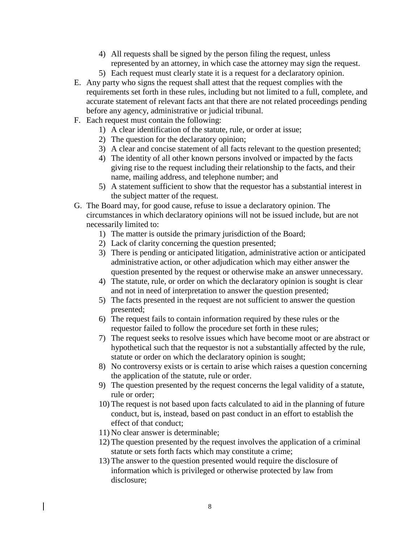- 4) All requests shall be signed by the person filing the request, unless represented by an attorney, in which case the attorney may sign the request.
- 5) Each request must clearly state it is a request for a declaratory opinion.
- E. Any party who signs the request shall attest that the request complies with the requirements set forth in these rules, including but not limited to a full, complete, and accurate statement of relevant facts ant that there are not related proceedings pending before any agency, administrative or judicial tribunal.
- F. Each request must contain the following:
	- 1) A clear identification of the statute, rule, or order at issue;
	- 2) The question for the declaratory opinion;
	- 3) A clear and concise statement of all facts relevant to the question presented;
	- 4) The identity of all other known persons involved or impacted by the facts giving rise to the request including their relationship to the facts, and their name, mailing address, and telephone number; and
	- 5) A statement sufficient to show that the requestor has a substantial interest in the subject matter of the request.
- G. The Board may, for good cause, refuse to issue a declaratory opinion. The circumstances in which declaratory opinions will not be issued include, but are not necessarily limited to:
	- 1) The matter is outside the primary jurisdiction of the Board;
	- 2) Lack of clarity concerning the question presented;
	- 3) There is pending or anticipated litigation, administrative action or anticipated administrative action, or other adjudication which may either answer the question presented by the request or otherwise make an answer unnecessary.
	- 4) The statute, rule, or order on which the declaratory opinion is sought is clear and not in need of interpretation to answer the question presented;
	- 5) The facts presented in the request are not sufficient to answer the question presented;
	- 6) The request fails to contain information required by these rules or the requestor failed to follow the procedure set forth in these rules;
	- 7) The request seeks to resolve issues which have become moot or are abstract or hypothetical such that the requestor is not a substantially affected by the rule, statute or order on which the declaratory opinion is sought;
	- 8) No controversy exists or is certain to arise which raises a question concerning the application of the statute, rule or order.
	- 9) The question presented by the request concerns the legal validity of a statute, rule or order;
	- 10) The request is not based upon facts calculated to aid in the planning of future conduct, but is, instead, based on past conduct in an effort to establish the effect of that conduct;
	- 11) No clear answer is determinable;
	- 12) The question presented by the request involves the application of a criminal statute or sets forth facts which may constitute a crime;
	- 13) The answer to the question presented would require the disclosure of information which is privileged or otherwise protected by law from disclosure;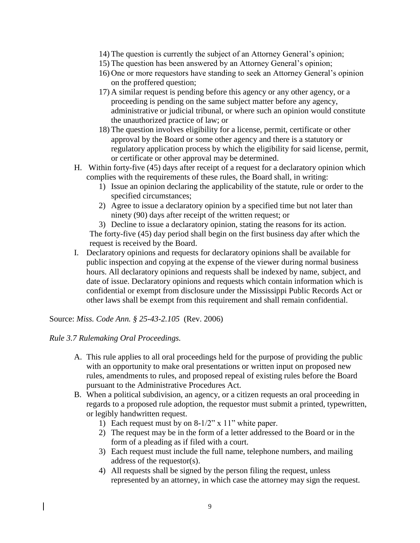- 14) The question is currently the subject of an Attorney General's opinion;
- 15) The question has been answered by an Attorney General's opinion;
- 16) One or more requestors have standing to seek an Attorney General's opinion on the proffered question;
- 17) A similar request is pending before this agency or any other agency, or a proceeding is pending on the same subject matter before any agency, administrative or judicial tribunal, or where such an opinion would constitute the unauthorized practice of law; or
- 18) The question involves eligibility for a license, permit, certificate or other approval by the Board or some other agency and there is a statutory or regulatory application process by which the eligibility for said license, permit, or certificate or other approval may be determined.
- H. Within forty-five (45) days after receipt of a request for a declaratory opinion which complies with the requirements of these rules, the Board shall, in writing:
	- 1) Issue an opinion declaring the applicability of the statute, rule or order to the specified circumstances;
	- 2) Agree to issue a declaratory opinion by a specified time but not later than ninety (90) days after receipt of the written request; or

3) Decline to issue a declaratory opinion, stating the reasons for its action. The forty-five (45) day period shall begin on the first business day after which the request is received by the Board.

I. Declaratory opinions and requests for declaratory opinions shall be available for public inspection and copying at the expense of the viewer during normal business hours. All declaratory opinions and requests shall be indexed by name, subject, and date of issue. Declaratory opinions and requests which contain information which is confidential or exempt from disclosure under the Mississippi Public Records Act or other laws shall be exempt from this requirement and shall remain confidential.

Source: *Miss. Code Ann. § 25-43-2.105* (Rev. 2006)

# *Rule 3.7 Rulemaking Oral Proceedings.*

- A. This rule applies to all oral proceedings held for the purpose of providing the public with an opportunity to make oral presentations or written input on proposed new rules, amendments to rules, and proposed repeal of existing rules before the Board pursuant to the Administrative Procedures Act.
- B. When a political subdivision, an agency, or a citizen requests an oral proceeding in regards to a proposed rule adoption, the requestor must submit a printed, typewritten, or legibly handwritten request.
	- 1) Each request must by on 8-1/2" x 11" white paper.
	- 2) The request may be in the form of a letter addressed to the Board or in the form of a pleading as if filed with a court.
	- 3) Each request must include the full name, telephone numbers, and mailing address of the requestor(s).
	- 4) All requests shall be signed by the person filing the request, unless represented by an attorney, in which case the attorney may sign the request.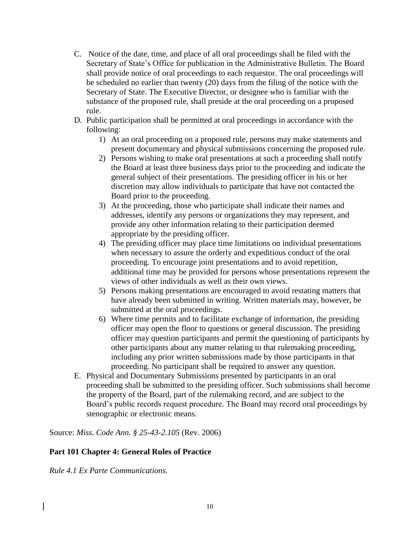- C. Notice of the date, time, and place of all oral proceedings shall be filed with the Secretary of State's Office for publication in the Administrative Bulletin. The Board shall provide notice of oral proceedings to each requestor. The oral proceedings will be scheduled no earlier than twenty (20) days from the filing of the notice with the Secretary of State. The Executive Director, or designee who is familiar with the substance of the proposed rule, shall preside at the oral proceeding on a proposed rule.
- D. Public participation shall be permitted at oral proceedings in accordance with the following:
	- 1) At an oral proceeding on a proposed rule, persons may make statements and present documentary and physical submissions concerning the proposed rule.
	- 2) Persons wishing to make oral presentations at such a proceeding shall notify the Board at least three business days prior to the proceeding and indicate the general subject of their presentations. The presiding officer in his or her discretion may allow individuals to participate that have not contacted the Board prior to the proceeding.
	- 3) At the proceeding, those who participate shall indicate their names and addresses, identify any persons or organizations they may represent, and provide any other information relating to their participation deemed appropriate by the presiding officer.
	- 4) The presiding officer may place time limitations on individual presentations when necessary to assure the orderly and expeditious conduct of the oral proceeding. To encourage joint presentations and to avoid repetition, additional time may be provided for persons whose presentations represent the views of other individuals as well as their own views.
	- 5) Persons making presentations are encouraged to avoid restating matters that have already been submitted in writing. Written materials may, however, be submitted at the oral proceedings.
	- 6) Where time permits and to facilitate exchange of information, the presiding officer may open the floor to questions or general discussion. The presiding officer may question participants and permit the questioning of participants by other participants about any matter relating to that rulemaking proceeding, including any prior written submissions made by those participants in that proceeding. No participant shall be required to answer any question.
- E. Physical and Documentary Submissions presented by participants in an oral proceeding shall be submitted to the presiding officer. Such submissions shall become the property of the Board, part of the rulemaking record, and are subject to the Board's public records request procedure. The Board may record oral proceedings by stenographic or electronic means.

Source: *Miss. Code Ann. § 25-43-2.105* (Rev. 2006)

# **Part 101 Chapter 4: General Rules of Practice**

*Rule 4.1 Ex Parte Communications.*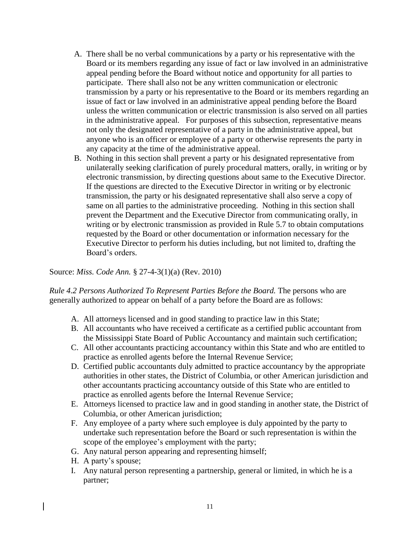- A. There shall be no verbal communications by a party or his representative with the Board or its members regarding any issue of fact or law involved in an administrative appeal pending before the Board without notice and opportunity for all parties to participate. There shall also not be any written communication or electronic transmission by a party or his representative to the Board or its members regarding an issue of fact or law involved in an administrative appeal pending before the Board unless the written communication or electric transmission is also served on all parties in the administrative appeal. For purposes of this subsection, representative means not only the designated representative of a party in the administrative appeal, but anyone who is an officer or employee of a party or otherwise represents the party in any capacity at the time of the administrative appeal.
- B. Nothing in this section shall prevent a party or his designated representative from unilaterally seeking clarification of purely procedural matters, orally, in writing or by electronic transmission, by directing questions about same to the Executive Director. If the questions are directed to the Executive Director in writing or by electronic transmission, the party or his designated representative shall also serve a copy of same on all parties to the administrative proceeding. Nothing in this section shall prevent the Department and the Executive Director from communicating orally, in writing or by electronic transmission as provided in Rule 5.7 to obtain computations requested by the Board or other documentation or information necessary for the Executive Director to perform his duties including, but not limited to, drafting the Board's orders.

*Rule 4.2 Persons Authorized To Represent Parties Before the Board.* The persons who are generally authorized to appear on behalf of a party before the Board are as follows:

- A. All attorneys licensed and in good standing to practice law in this State;
- B. All accountants who have received a certificate as a certified public accountant from the Mississippi State Board of Public Accountancy and maintain such certification;
- C. All other accountants practicing accountancy within this State and who are entitled to practice as enrolled agents before the Internal Revenue Service;
- D. Certified public accountants duly admitted to practice accountancy by the appropriate authorities in other states, the District of Columbia, or other American jurisdiction and other accountants practicing accountancy outside of this State who are entitled to practice as enrolled agents before the Internal Revenue Service;
- E. Attorneys licensed to practice law and in good standing in another state, the District of Columbia, or other American jurisdiction;
- F. Any employee of a party where such employee is duly appointed by the party to undertake such representation before the Board or such representation is within the scope of the employee's employment with the party;
- G. Any natural person appearing and representing himself;
- H. A party's spouse;
- I. Any natural person representing a partnership, general or limited, in which he is a partner;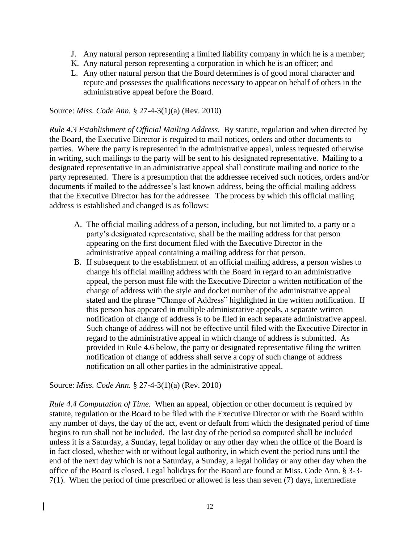- J. Any natural person representing a limited liability company in which he is a member;
- K. Any natural person representing a corporation in which he is an officer; and
- L. Any other natural person that the Board determines is of good moral character and repute and possesses the qualifications necessary to appear on behalf of others in the administrative appeal before the Board.

*Rule 4.3 Establishment of Official Mailing Address.* By statute, regulation and when directed by the Board, the Executive Director is required to mail notices, orders and other documents to parties. Where the party is represented in the administrative appeal, unless requested otherwise in writing, such mailings to the party will be sent to his designated representative. Mailing to a designated representative in an administrative appeal shall constitute mailing and notice to the party represented. There is a presumption that the addressee received such notices, orders and/or documents if mailed to the addressee's last known address, being the official mailing address that the Executive Director has for the addressee. The process by which this official mailing address is established and changed is as follows:

- A. The official mailing address of a person, including, but not limited to, a party or a party's designated representative, shall be the mailing address for that person appearing on the first document filed with the Executive Director in the administrative appeal containing a mailing address for that person.
- B. If subsequent to the establishment of an official mailing address, a person wishes to change his official mailing address with the Board in regard to an administrative appeal, the person must file with the Executive Director a written notification of the change of address with the style and docket number of the administrative appeal stated and the phrase "Change of Address" highlighted in the written notification. If this person has appeared in multiple administrative appeals, a separate written notification of change of address is to be filed in each separate administrative appeal. Such change of address will not be effective until filed with the Executive Director in regard to the administrative appeal in which change of address is submitted. As provided in Rule 4.6 below, the party or designated representative filing the written notification of change of address shall serve a copy of such change of address notification on all other parties in the administrative appeal.

Source: *Miss. Code Ann.* § 27-4-3(1)(a) (Rev. 2010)

*Rule 4.4 Computation of Time.* When an appeal, objection or other document is required by statute, regulation or the Board to be filed with the Executive Director or with the Board within any number of days, the day of the act, event or default from which the designated period of time begins to run shall not be included. The last day of the period so computed shall be included unless it is a Saturday, a Sunday, legal holiday or any other day when the office of the Board is in fact closed, whether with or without legal authority, in which event the period runs until the end of the next day which is not a Saturday, a Sunday, a legal holiday or any other day when the office of the Board is closed. Legal holidays for the Board are found at Miss. Code Ann. § 3-3- 7(1). When the period of time prescribed or allowed is less than seven (7) days, intermediate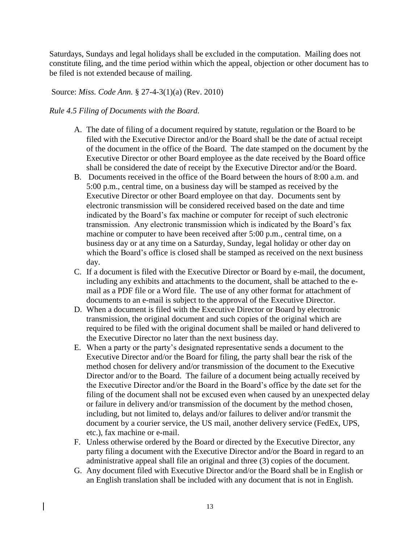Saturdays, Sundays and legal holidays shall be excluded in the computation. Mailing does not constitute filing, and the time period within which the appeal, objection or other document has to be filed is not extended because of mailing.

Source: *Miss. Code Ann.* § 27-4-3(1)(a) (Rev. 2010)

# *Rule 4.5 Filing of Documents with the Board.*

- A. The date of filing of a document required by statute, regulation or the Board to be filed with the Executive Director and/or the Board shall be the date of actual receipt of the document in the office of the Board. The date stamped on the document by the Executive Director or other Board employee as the date received by the Board office shall be considered the date of receipt by the Executive Director and/or the Board.
- B. Documents received in the office of the Board between the hours of 8:00 a.m. and 5:00 p.m., central time, on a business day will be stamped as received by the Executive Director or other Board employee on that day. Documents sent by electronic transmission will be considered received based on the date and time indicated by the Board's fax machine or computer for receipt of such electronic transmission. Any electronic transmission which is indicated by the Board's fax machine or computer to have been received after 5:00 p.m., central time, on a business day or at any time on a Saturday, Sunday, legal holiday or other day on which the Board's office is closed shall be stamped as received on the next business day.
- C. If a document is filed with the Executive Director or Board by e-mail, the document, including any exhibits and attachments to the document, shall be attached to the email as a PDF file or a Word file. The use of any other format for attachment of documents to an e-mail is subject to the approval of the Executive Director.
- D. When a document is filed with the Executive Director or Board by electronic transmission, the original document and such copies of the original which are required to be filed with the original document shall be mailed or hand delivered to the Executive Director no later than the next business day.
- E. When a party or the party's designated representative sends a document to the Executive Director and/or the Board for filing, the party shall bear the risk of the method chosen for delivery and/or transmission of the document to the Executive Director and/or to the Board. The failure of a document being actually received by the Executive Director and/or the Board in the Board's office by the date set for the filing of the document shall not be excused even when caused by an unexpected delay or failure in delivery and/or transmission of the document by the method chosen, including, but not limited to, delays and/or failures to deliver and/or transmit the document by a courier service, the US mail, another delivery service (FedEx, UPS, etc.), fax machine or e-mail.
- F. Unless otherwise ordered by the Board or directed by the Executive Director, any party filing a document with the Executive Director and/or the Board in regard to an administrative appeal shall file an original and three (3) copies of the document.
- G. Any document filed with Executive Director and/or the Board shall be in English or an English translation shall be included with any document that is not in English.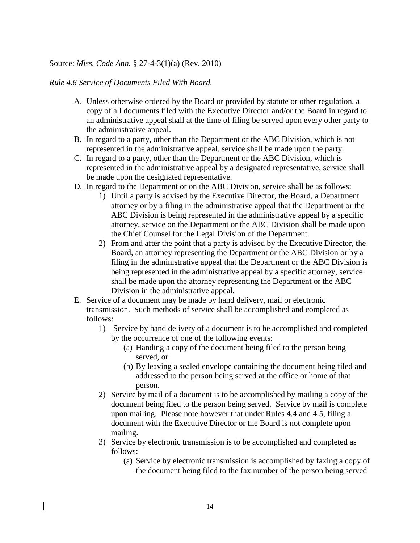### *Rule 4.6 Service of Documents Filed With Board.*

- A. Unless otherwise ordered by the Board or provided by statute or other regulation, a copy of all documents filed with the Executive Director and/or the Board in regard to an administrative appeal shall at the time of filing be served upon every other party to the administrative appeal.
- B. In regard to a party, other than the Department or the ABC Division, which is not represented in the administrative appeal, service shall be made upon the party.
- C. In regard to a party, other than the Department or the ABC Division, which is represented in the administrative appeal by a designated representative, service shall be made upon the designated representative.
- D. In regard to the Department or on the ABC Division, service shall be as follows:
	- 1) Until a party is advised by the Executive Director, the Board, a Department attorney or by a filing in the administrative appeal that the Department or the ABC Division is being represented in the administrative appeal by a specific attorney, service on the Department or the ABC Division shall be made upon the Chief Counsel for the Legal Division of the Department.
	- 2) From and after the point that a party is advised by the Executive Director, the Board, an attorney representing the Department or the ABC Division or by a filing in the administrative appeal that the Department or the ABC Division is being represented in the administrative appeal by a specific attorney, service shall be made upon the attorney representing the Department or the ABC Division in the administrative appeal.
- E. Service of a document may be made by hand delivery, mail or electronic transmission. Such methods of service shall be accomplished and completed as follows:
	- 1) Service by hand delivery of a document is to be accomplished and completed by the occurrence of one of the following events:
		- (a) Handing a copy of the document being filed to the person being served, or
		- (b) By leaving a sealed envelope containing the document being filed and addressed to the person being served at the office or home of that person.
	- 2) Service by mail of a document is to be accomplished by mailing a copy of the document being filed to the person being served. Service by mail is complete upon mailing. Please note however that under Rules 4.4 and 4.5, filing a document with the Executive Director or the Board is not complete upon mailing.
	- 3) Service by electronic transmission is to be accomplished and completed as follows:
		- (a) Service by electronic transmission is accomplished by faxing a copy of the document being filed to the fax number of the person being served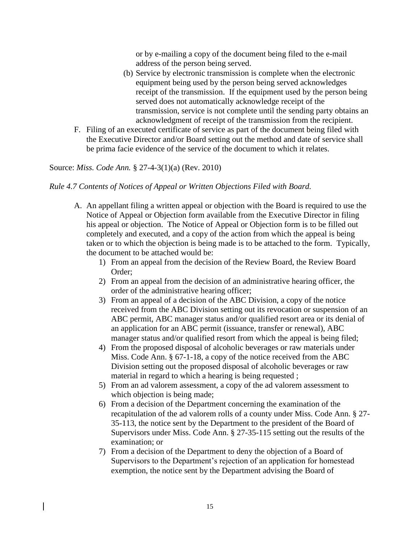or by e-mailing a copy of the document being filed to the e-mail address of the person being served.

- (b) Service by electronic transmission is complete when the electronic equipment being used by the person being served acknowledges receipt of the transmission. If the equipment used by the person being served does not automatically acknowledge receipt of the transmission, service is not complete until the sending party obtains an acknowledgment of receipt of the transmission from the recipient.
- F. Filing of an executed certificate of service as part of the document being filed with the Executive Director and/or Board setting out the method and date of service shall be prima facie evidence of the service of the document to which it relates.

## Source: *Miss. Code Ann.* § 27-4-3(1)(a) (Rev. 2010)

### *Rule 4.7 Contents of Notices of Appeal or Written Objections Filed with Board.*

- A. An appellant filing a written appeal or objection with the Board is required to use the Notice of Appeal or Objection form available from the Executive Director in filing his appeal or objection. The Notice of Appeal or Objection form is to be filled out completely and executed, and a copy of the action from which the appeal is being taken or to which the objection is being made is to be attached to the form. Typically, the document to be attached would be:
	- 1) From an appeal from the decision of the Review Board, the Review Board Order;
	- 2) From an appeal from the decision of an administrative hearing officer, the order of the administrative hearing officer;
	- 3) From an appeal of a decision of the ABC Division, a copy of the notice received from the ABC Division setting out its revocation or suspension of an ABC permit, ABC manager status and/or qualified resort area or its denial of an application for an ABC permit (issuance, transfer or renewal), ABC manager status and/or qualified resort from which the appeal is being filed;
	- 4) From the proposed disposal of alcoholic beverages or raw materials under Miss. Code Ann. § 67-1-18, a copy of the notice received from the ABC Division setting out the proposed disposal of alcoholic beverages or raw material in regard to which a hearing is being requested ;
	- 5) From an ad valorem assessment, a copy of the ad valorem assessment to which objection is being made;
	- 6) From a decision of the Department concerning the examination of the recapitulation of the ad valorem rolls of a county under Miss. Code Ann. § 27- 35-113, the notice sent by the Department to the president of the Board of Supervisors under Miss. Code Ann. § 27-35-115 setting out the results of the examination; or
	- 7) From a decision of the Department to deny the objection of a Board of Supervisors to the Department's rejection of an application for homestead exemption, the notice sent by the Department advising the Board of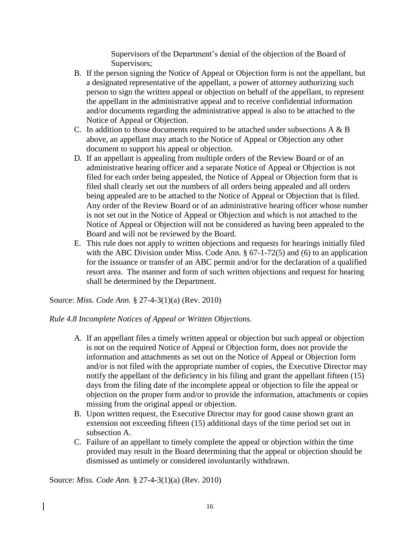Supervisors of the Department's denial of the objection of the Board of Supervisors;

- B. If the person signing the Notice of Appeal or Objection form is not the appellant, but a designated representative of the appellant, a power of attorney authorizing such person to sign the written appeal or objection on behalf of the appellant, to represent the appellant in the administrative appeal and to receive confidential information and/or documents regarding the administrative appeal is also to be attached to the Notice of Appeal or Objection.
- C. In addition to those documents required to be attached under subsections  $A \& B$ above, an appellant may attach to the Notice of Appeal or Objection any other document to support his appeal or objection.
- D. If an appellant is appealing from multiple orders of the Review Board or of an administrative hearing officer and a separate Notice of Appeal or Objection is not filed for each order being appealed, the Notice of Appeal or Objection form that is filed shall clearly set out the numbers of all orders being appealed and all orders being appealed are to be attached to the Notice of Appeal or Objection that is filed. Any order of the Review Board or of an administrative hearing officer whose number is not set out in the Notice of Appeal or Objection and which is not attached to the Notice of Appeal or Objection will not be considered as having been appealed to the Board and will not be reviewed by the Board.
- E. This rule does not apply to written objections and requests for hearings initially filed with the ABC Division under Miss. Code Ann. § 67-1-72(5) and (6) to an application for the issuance or transfer of an ABC permit and/or for the declaration of a qualified resort area. The manner and form of such written objections and request for hearing shall be determined by the Department.

Source: *Miss. Code Ann.* § 27-4-3(1)(a) (Rev. 2010)

*Rule 4.8 Incomplete Notices of Appeal or Written Objections.*

- A. If an appellant files a timely written appeal or objection but such appeal or objection is not on the required Notice of Appeal or Objection form, does not provide the information and attachments as set out on the Notice of Appeal or Objection form and/or is not filed with the appropriate number of copies, the Executive Director may notify the appellant of the deficiency in his filing and grant the appellant fifteen (15) days from the filing date of the incomplete appeal or objection to file the appeal or objection on the proper form and/or to provide the information, attachments or copies missing from the original appeal or objection.
- B. Upon written request, the Executive Director may for good cause shown grant an extension not exceeding fifteen (15) additional days of the time period set out in subsection A.
- C. Failure of an appellant to timely complete the appeal or objection within the time provided may result in the Board determining that the appeal or objection should be dismissed as untimely or considered involuntarily withdrawn.

Source: *Miss. Code Ann.* § 27-4-3(1)(a) (Rev. 2010)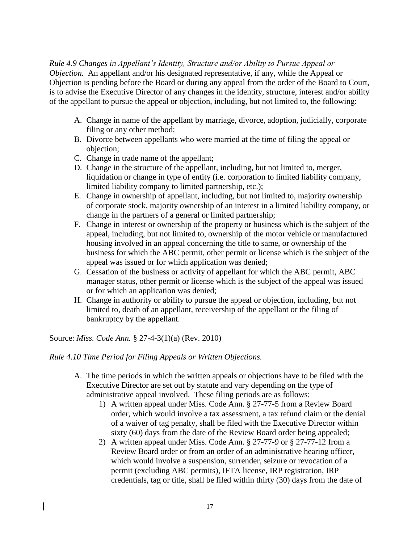### *Rule 4.9 Changes in Appellant's Identity, Structure and/or Ability to Pursue Appeal or*

*Objection.* An appellant and/or his designated representative, if any, while the Appeal or Objection is pending before the Board or during any appeal from the order of the Board to Court, is to advise the Executive Director of any changes in the identity, structure, interest and/or ability of the appellant to pursue the appeal or objection, including, but not limited to, the following:

- A. Change in name of the appellant by marriage, divorce, adoption, judicially, corporate filing or any other method;
- B. Divorce between appellants who were married at the time of filing the appeal or objection;
- C. Change in trade name of the appellant;
- D. Change in the structure of the appellant, including, but not limited to, merger, liquidation or change in type of entity (i.e. corporation to limited liability company, limited liability company to limited partnership, etc.);
- E. Change in ownership of appellant, including, but not limited to, majority ownership of corporate stock, majority ownership of an interest in a limited liability company, or change in the partners of a general or limited partnership;
- F. Change in interest or ownership of the property or business which is the subject of the appeal, including, but not limited to, ownership of the motor vehicle or manufactured housing involved in an appeal concerning the title to same, or ownership of the business for which the ABC permit, other permit or license which is the subject of the appeal was issued or for which application was denied;
- G. Cessation of the business or activity of appellant for which the ABC permit, ABC manager status, other permit or license which is the subject of the appeal was issued or for which an application was denied;
- H. Change in authority or ability to pursue the appeal or objection, including, but not limited to, death of an appellant, receivership of the appellant or the filing of bankruptcy by the appellant.

Source: *Miss. Code Ann.* § 27-4-3(1)(a) (Rev. 2010)

### *Rule 4.10 Time Period for Filing Appeals or Written Objections.*

- A. The time periods in which the written appeals or objections have to be filed with the Executive Director are set out by statute and vary depending on the type of administrative appeal involved. These filing periods are as follows:
	- 1) A written appeal under Miss. Code Ann. § 27-77-5 from a Review Board order, which would involve a tax assessment, a tax refund claim or the denial of a waiver of tag penalty, shall be filed with the Executive Director within sixty (60) days from the date of the Review Board order being appealed;
	- 2) A written appeal under Miss. Code Ann. § 27-77-9 or § 27-77-12 from a Review Board order or from an order of an administrative hearing officer, which would involve a suspension, surrender, seizure or revocation of a permit (excluding ABC permits), IFTA license, IRP registration, IRP credentials, tag or title, shall be filed within thirty (30) days from the date of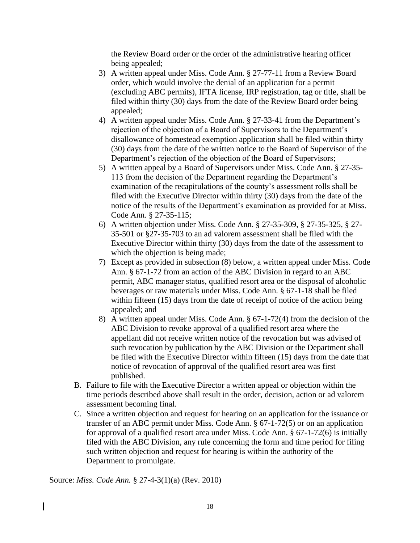the Review Board order or the order of the administrative hearing officer being appealed;

- 3) A written appeal under Miss. Code Ann. § 27-77-11 from a Review Board order, which would involve the denial of an application for a permit (excluding ABC permits), IFTA license, IRP registration, tag or title, shall be filed within thirty (30) days from the date of the Review Board order being appealed;
- 4) A written appeal under Miss. Code Ann. § 27-33-41 from the Department's rejection of the objection of a Board of Supervisors to the Department's disallowance of homestead exemption application shall be filed within thirty (30) days from the date of the written notice to the Board of Supervisor of the Department's rejection of the objection of the Board of Supervisors;
- 5) A written appeal by a Board of Supervisors under Miss. Code Ann. § 27-35- 113 from the decision of the Department regarding the Department's examination of the recapitulations of the county's assessment rolls shall be filed with the Executive Director within thirty (30) days from the date of the notice of the results of the Department's examination as provided for at Miss. Code Ann. § 27-35-115;
- 6) A written objection under Miss. Code Ann. § 27-35-309, § 27-35-325, § 27- 35-501 or §27-35-703 to an ad valorem assessment shall be filed with the Executive Director within thirty (30) days from the date of the assessment to which the objection is being made;
- 7) Except as provided in subsection (8) below, a written appeal under Miss. Code Ann. § 67-1-72 from an action of the ABC Division in regard to an ABC permit, ABC manager status, qualified resort area or the disposal of alcoholic beverages or raw materials under Miss. Code Ann. § 67-1-18 shall be filed within fifteen (15) days from the date of receipt of notice of the action being appealed; and
- 8) A written appeal under Miss. Code Ann. § 67-1-72(4) from the decision of the ABC Division to revoke approval of a qualified resort area where the appellant did not receive written notice of the revocation but was advised of such revocation by publication by the ABC Division or the Department shall be filed with the Executive Director within fifteen (15) days from the date that notice of revocation of approval of the qualified resort area was first published.
- B. Failure to file with the Executive Director a written appeal or objection within the time periods described above shall result in the order, decision, action or ad valorem assessment becoming final.
- C. Since a written objection and request for hearing on an application for the issuance or transfer of an ABC permit under Miss. Code Ann. § 67-1-72(5) or on an application for approval of a qualified resort area under Miss. Code Ann. § 67-1-72(6) is initially filed with the ABC Division, any rule concerning the form and time period for filing such written objection and request for hearing is within the authority of the Department to promulgate.

Source: *Miss. Code Ann.* § 27-4-3(1)(a) (Rev. 2010)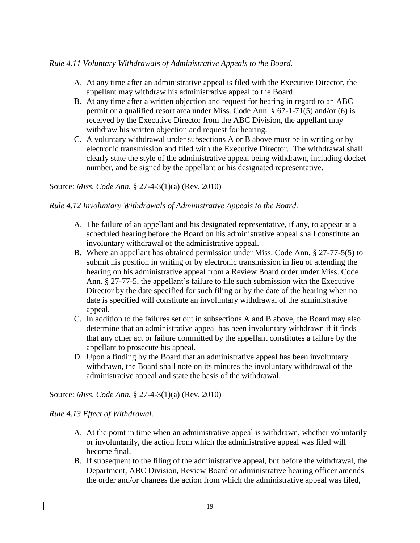## *Rule 4.11 Voluntary Withdrawals of Administrative Appeals to the Board.*

- A. At any time after an administrative appeal is filed with the Executive Director, the appellant may withdraw his administrative appeal to the Board.
- B. At any time after a written objection and request for hearing in regard to an ABC permit or a qualified resort area under Miss. Code Ann. § 67-1-71(5) and/or (6) is received by the Executive Director from the ABC Division, the appellant may withdraw his written objection and request for hearing.
- C. A voluntary withdrawal under subsections A or B above must be in writing or by electronic transmission and filed with the Executive Director. The withdrawal shall clearly state the style of the administrative appeal being withdrawn, including docket number, and be signed by the appellant or his designated representative.

## Source: *Miss. Code Ann.* § 27-4-3(1)(a) (Rev. 2010)

### *Rule 4.12 Involuntary Withdrawals of Administrative Appeals to the Board.*

- A. The failure of an appellant and his designated representative, if any, to appear at a scheduled hearing before the Board on his administrative appeal shall constitute an involuntary withdrawal of the administrative appeal.
- B. Where an appellant has obtained permission under Miss. Code Ann. § 27-77-5(5) to submit his position in writing or by electronic transmission in lieu of attending the hearing on his administrative appeal from a Review Board order under Miss. Code Ann. § 27-77-5, the appellant's failure to file such submission with the Executive Director by the date specified for such filing or by the date of the hearing when no date is specified will constitute an involuntary withdrawal of the administrative appeal.
- C. In addition to the failures set out in subsections A and B above, the Board may also determine that an administrative appeal has been involuntary withdrawn if it finds that any other act or failure committed by the appellant constitutes a failure by the appellant to prosecute his appeal.
- D. Upon a finding by the Board that an administrative appeal has been involuntary withdrawn, the Board shall note on its minutes the involuntary withdrawal of the administrative appeal and state the basis of the withdrawal.

Source: *Miss. Code Ann.* § 27-4-3(1)(a) (Rev. 2010)

### *Rule 4.13 Effect of Withdrawal.*

- A. At the point in time when an administrative appeal is withdrawn, whether voluntarily or involuntarily, the action from which the administrative appeal was filed will become final.
- B. If subsequent to the filing of the administrative appeal, but before the withdrawal, the Department, ABC Division, Review Board or administrative hearing officer amends the order and/or changes the action from which the administrative appeal was filed,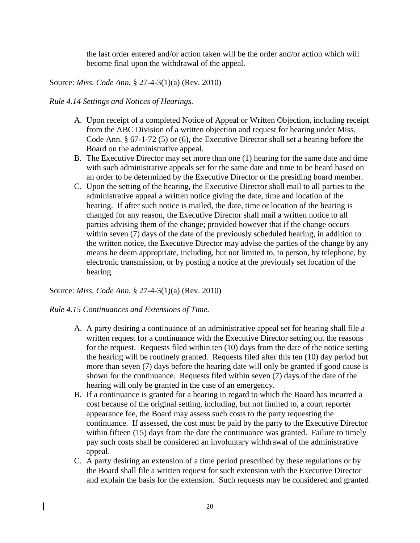the last order entered and/or action taken will be the order and/or action which will become final upon the withdrawal of the appeal.

Source: *Miss. Code Ann.* § 27-4-3(1)(a) (Rev. 2010)

### *Rule 4.14 Settings and Notices of Hearings.*

- A. Upon receipt of a completed Notice of Appeal or Written Objection, including receipt from the ABC Division of a written objection and request for hearing under Miss. Code Ann. § 67-1-72 (5) or (6), the Executive Director shall set a hearing before the Board on the administrative appeal.
- B. The Executive Director may set more than one (1) hearing for the same date and time with such administrative appeals set for the same date and time to be heard based on an order to be determined by the Executive Director or the presiding board member.
- C. Upon the setting of the hearing, the Executive Director shall mail to all parties to the administrative appeal a written notice giving the date, time and location of the hearing. If after such notice is mailed, the date, time or location of the hearing is changed for any reason, the Executive Director shall mail a written notice to all parties advising them of the change; provided however that if the change occurs within seven (7) days of the date of the previously scheduled hearing, in addition to the written notice, the Executive Director may advise the parties of the change by any means he deem appropriate, including, but not limited to, in person, by telephone, by electronic transmission, or by posting a notice at the previously set location of the hearing.

Source: *Miss. Code Ann.* § 27-4-3(1)(a) (Rev. 2010)

### *Rule 4.15 Continuances and Extensions of Time.*

- A. A party desiring a continuance of an administrative appeal set for hearing shall file a written request for a continuance with the Executive Director setting out the reasons for the request. Requests filed within ten (10) days from the date of the notice setting the hearing will be routinely granted. Requests filed after this ten (10) day period but more than seven (7) days before the hearing date will only be granted if good cause is shown for the continuance. Requests filed within seven (7) days of the date of the hearing will only be granted in the case of an emergency.
- B. If a continuance is granted for a hearing in regard to which the Board has incurred a cost because of the original setting, including, but not limited to, a court reporter appearance fee, the Board may assess such costs to the party requesting the continuance. If assessed, the cost must be paid by the party to the Executive Director within fifteen (15) days from the date the continuance was granted. Failure to timely pay such costs shall be considered an involuntary withdrawal of the administrative appeal.
- C. A party desiring an extension of a time period prescribed by these regulations or by the Board shall file a written request for such extension with the Executive Director and explain the basis for the extension. Such requests may be considered and granted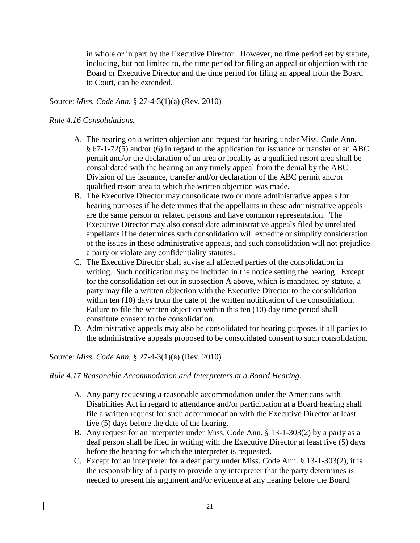in whole or in part by the Executive Director. However, no time period set by statute, including, but not limited to, the time period for filing an appeal or objection with the Board or Executive Director and the time period for filing an appeal from the Board to Court, can be extended.

## Source: *Miss. Code Ann.* § 27-4-3(1)(a) (Rev. 2010)

### *Rule 4.16 Consolidations.*

- A. The hearing on a written objection and request for hearing under Miss. Code Ann. § 67-1-72(5) and/or (6) in regard to the application for issuance or transfer of an ABC permit and/or the declaration of an area or locality as a qualified resort area shall be consolidated with the hearing on any timely appeal from the denial by the ABC Division of the issuance, transfer and/or declaration of the ABC permit and/or qualified resort area to which the written objection was made.
- B. The Executive Director may consolidate two or more administrative appeals for hearing purposes if he determines that the appellants in these administrative appeals are the same person or related persons and have common representation. The Executive Director may also consolidate administrative appeals filed by unrelated appellants if he determines such consolidation will expedite or simplify consideration of the issues in these administrative appeals, and such consolidation will not prejudice a party or violate any confidentiality statutes.
- C. The Executive Director shall advise all affected parties of the consolidation in writing. Such notification may be included in the notice setting the hearing. Except for the consolidation set out in subsection A above, which is mandated by statute, a party may file a written objection with the Executive Director to the consolidation within ten (10) days from the date of the written notification of the consolidation. Failure to file the written objection within this ten (10) day time period shall constitute consent to the consolidation.
- D. Administrative appeals may also be consolidated for hearing purposes if all parties to the administrative appeals proposed to be consolidated consent to such consolidation.

#### Source: *Miss. Code Ann.* § 27-4-3(1)(a) (Rev. 2010)

#### *Rule 4.17 Reasonable Accommodation and Interpreters at a Board Hearing.*

- A. Any party requesting a reasonable accommodation under the Americans with Disabilities Act in regard to attendance and/or participation at a Board hearing shall file a written request for such accommodation with the Executive Director at least five (5) days before the date of the hearing.
- B. Any request for an interpreter under Miss. Code Ann. § 13-1-303(2) by a party as a deaf person shall be filed in writing with the Executive Director at least five (5) days before the hearing for which the interpreter is requested.
- C. Except for an interpreter for a deaf party under Miss. Code Ann. § 13-1-303(2), it is the responsibility of a party to provide any interpreter that the party determines is needed to present his argument and/or evidence at any hearing before the Board.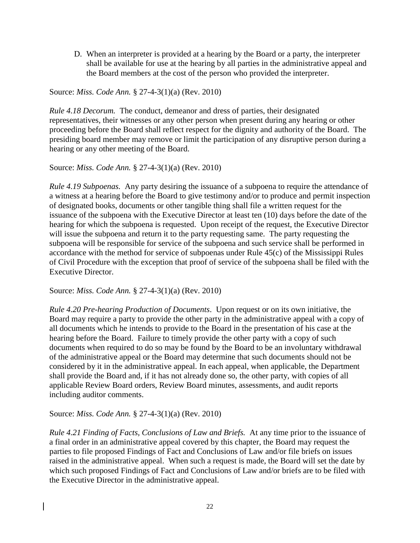D. When an interpreter is provided at a hearing by the Board or a party, the interpreter shall be available for use at the hearing by all parties in the administrative appeal and the Board members at the cost of the person who provided the interpreter.

Source: *Miss. Code Ann.* § 27-4-3(1)(a) (Rev. 2010)

*Rule 4.18 Decorum.* The conduct, demeanor and dress of parties, their designated representatives, their witnesses or any other person when present during any hearing or other proceeding before the Board shall reflect respect for the dignity and authority of the Board. The presiding board member may remove or limit the participation of any disruptive person during a hearing or any other meeting of the Board.

Source: *Miss. Code Ann.* § 27-4-3(1)(a) (Rev. 2010)

*Rule 4.19 Subpoenas.* Any party desiring the issuance of a subpoena to require the attendance of a witness at a hearing before the Board to give testimony and/or to produce and permit inspection of designated books, documents or other tangible thing shall file a written request for the issuance of the subpoena with the Executive Director at least ten (10) days before the date of the hearing for which the subpoena is requested. Upon receipt of the request, the Executive Director will issue the subpoena and return it to the party requesting same. The party requesting the subpoena will be responsible for service of the subpoena and such service shall be performed in accordance with the method for service of subpoenas under Rule 45(c) of the Mississippi Rules of Civil Procedure with the exception that proof of service of the subpoena shall be filed with the Executive Director.

Source: *Miss. Code Ann.* § 27-4-3(1)(a) (Rev. 2010)

*Rule 4.20 Pre-hearing Production of Documents*. Upon request or on its own initiative, the Board may require a party to provide the other party in the administrative appeal with a copy of all documents which he intends to provide to the Board in the presentation of his case at the hearing before the Board. Failure to timely provide the other party with a copy of such documents when required to do so may be found by the Board to be an involuntary withdrawal of the administrative appeal or the Board may determine that such documents should not be considered by it in the administrative appeal. In each appeal, when applicable, the Department shall provide the Board and, if it has not already done so, the other party, with copies of all applicable Review Board orders, Review Board minutes, assessments, and audit reports including auditor comments.

Source: *Miss. Code Ann.* § 27-4-3(1)(a) (Rev. 2010)

*Rule 4.21 Finding of Facts, Conclusions of Law and Briefs.* At any time prior to the issuance of a final order in an administrative appeal covered by this chapter, the Board may request the parties to file proposed Findings of Fact and Conclusions of Law and/or file briefs on issues raised in the administrative appeal. When such a request is made, the Board will set the date by which such proposed Findings of Fact and Conclusions of Law and/or briefs are to be filed with the Executive Director in the administrative appeal.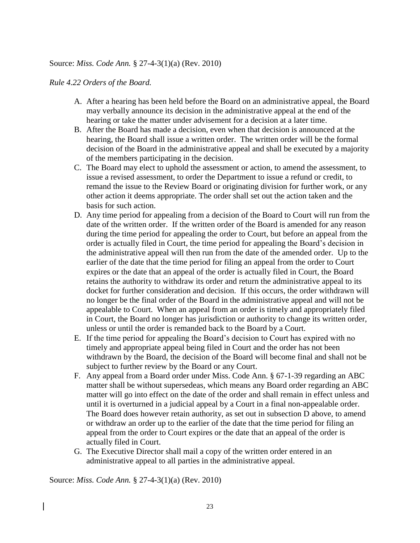#### *Rule 4.22 Orders of the Board.*

- A. After a hearing has been held before the Board on an administrative appeal, the Board may verbally announce its decision in the administrative appeal at the end of the hearing or take the matter under advisement for a decision at a later time.
- B. After the Board has made a decision, even when that decision is announced at the hearing, the Board shall issue a written order. The written order will be the formal decision of the Board in the administrative appeal and shall be executed by a majority of the members participating in the decision.
- C. The Board may elect to uphold the assessment or action, to amend the assessment, to issue a revised assessment, to order the Department to issue a refund or credit, to remand the issue to the Review Board or originating division for further work, or any other action it deems appropriate. The order shall set out the action taken and the basis for such action.
- D. Any time period for appealing from a decision of the Board to Court will run from the date of the written order. If the written order of the Board is amended for any reason during the time period for appealing the order to Court, but before an appeal from the order is actually filed in Court, the time period for appealing the Board's decision in the administrative appeal will then run from the date of the amended order. Up to the earlier of the date that the time period for filing an appeal from the order to Court expires or the date that an appeal of the order is actually filed in Court, the Board retains the authority to withdraw its order and return the administrative appeal to its docket for further consideration and decision. If this occurs, the order withdrawn will no longer be the final order of the Board in the administrative appeal and will not be appealable to Court. When an appeal from an order is timely and appropriately filed in Court, the Board no longer has jurisdiction or authority to change its written order, unless or until the order is remanded back to the Board by a Court.
- E. If the time period for appealing the Board's decision to Court has expired with no timely and appropriate appeal being filed in Court and the order has not been withdrawn by the Board, the decision of the Board will become final and shall not be subject to further review by the Board or any Court.
- F. Any appeal from a Board order under Miss. Code Ann. § 67-1-39 regarding an ABC matter shall be without supersedeas, which means any Board order regarding an ABC matter will go into effect on the date of the order and shall remain in effect unless and until it is overturned in a judicial appeal by a Court in a final non-appealable order. The Board does however retain authority, as set out in subsection D above, to amend or withdraw an order up to the earlier of the date that the time period for filing an appeal from the order to Court expires or the date that an appeal of the order is actually filed in Court.
- G. The Executive Director shall mail a copy of the written order entered in an administrative appeal to all parties in the administrative appeal.

Source: *Miss. Code Ann.* § 27-4-3(1)(a) (Rev. 2010)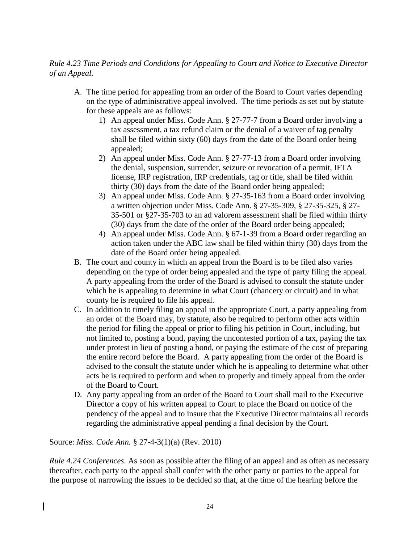# *Rule 4.23 Time Periods and Conditions for Appealing to Court and Notice to Executive Director of an Appeal.*

- A. The time period for appealing from an order of the Board to Court varies depending on the type of administrative appeal involved. The time periods as set out by statute for these appeals are as follows:
	- 1) An appeal under Miss. Code Ann. § 27-77-7 from a Board order involving a tax assessment, a tax refund claim or the denial of a waiver of tag penalty shall be filed within sixty (60) days from the date of the Board order being appealed;
	- 2) An appeal under Miss. Code Ann. § 27-77-13 from a Board order involving the denial, suspension, surrender, seizure or revocation of a permit, IFTA license, IRP registration, IRP credentials, tag or title, shall be filed within thirty (30) days from the date of the Board order being appealed;
	- 3) An appeal under Miss. Code Ann. § 27-35-163 from a Board order involving a written objection under Miss. Code Ann. § 27-35-309, § 27-35-325, § 27- 35-501 or §27-35-703 to an ad valorem assessment shall be filed within thirty (30) days from the date of the order of the Board order being appealed;
	- 4) An appeal under Miss. Code Ann. § 67-1-39 from a Board order regarding an action taken under the ABC law shall be filed within thirty (30) days from the date of the Board order being appealed.
- B. The court and county in which an appeal from the Board is to be filed also varies depending on the type of order being appealed and the type of party filing the appeal. A party appealing from the order of the Board is advised to consult the statute under which he is appealing to determine in what Court (chancery or circuit) and in what county he is required to file his appeal.
- C. In addition to timely filing an appeal in the appropriate Court, a party appealing from an order of the Board may, by statute, also be required to perform other acts within the period for filing the appeal or prior to filing his petition in Court, including, but not limited to, posting a bond, paying the uncontested portion of a tax, paying the tax under protest in lieu of posting a bond, or paying the estimate of the cost of preparing the entire record before the Board. A party appealing from the order of the Board is advised to the consult the statute under which he is appealing to determine what other acts he is required to perform and when to properly and timely appeal from the order of the Board to Court.
- D. Any party appealing from an order of the Board to Court shall mail to the Executive Director a copy of his written appeal to Court to place the Board on notice of the pendency of the appeal and to insure that the Executive Director maintains all records regarding the administrative appeal pending a final decision by the Court.

Source: *Miss. Code Ann.* § 27-4-3(1)(a) (Rev. 2010)

*Rule 4.24 Conferences.* As soon as possible after the filing of an appeal and as often as necessary thereafter, each party to the appeal shall confer with the other party or parties to the appeal for the purpose of narrowing the issues to be decided so that, at the time of the hearing before the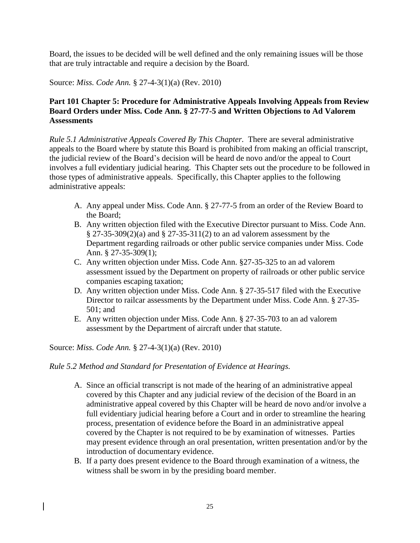Board, the issues to be decided will be well defined and the only remaining issues will be those that are truly intractable and require a decision by the Board.

Source: *Miss. Code Ann.* § 27-4-3(1)(a) (Rev. 2010)

# **Part 101 Chapter 5: Procedure for Administrative Appeals Involving Appeals from Review Board Orders under Miss. Code Ann. § 27-77-5 and Written Objections to Ad Valorem Assessments**

*Rule 5.1 Administrative Appeals Covered By This Chapter.* There are several administrative appeals to the Board where by statute this Board is prohibited from making an official transcript, the judicial review of the Board's decision will be heard de novo and/or the appeal to Court involves a full evidentiary judicial hearing. This Chapter sets out the procedure to be followed in those types of administrative appeals. Specifically, this Chapter applies to the following administrative appeals:

- A. Any appeal under Miss. Code Ann. § 27-77-5 from an order of the Review Board to the Board;
- B. Any written objection filed with the Executive Director pursuant to Miss. Code Ann. § 27-35-309(2)(a) and § 27-35-311(2) to an ad valorem assessment by the Department regarding railroads or other public service companies under Miss. Code Ann. § 27-35-309(1);
- C. Any written objection under Miss. Code Ann. §27-35-325 to an ad valorem assessment issued by the Department on property of railroads or other public service companies escaping taxation;
- D. Any written objection under Miss. Code Ann. § 27-35-517 filed with the Executive Director to railcar assessments by the Department under Miss. Code Ann. § 27-35- 501; and
- E. Any written objection under Miss. Code Ann. § 27-35-703 to an ad valorem assessment by the Department of aircraft under that statute.

Source: *Miss. Code Ann.* § 27-4-3(1)(a) (Rev. 2010)

### *Rule 5.2 Method and Standard for Presentation of Evidence at Hearings.*

- A. Since an official transcript is not made of the hearing of an administrative appeal covered by this Chapter and any judicial review of the decision of the Board in an administrative appeal covered by this Chapter will be heard de novo and/or involve a full evidentiary judicial hearing before a Court and in order to streamline the hearing process, presentation of evidence before the Board in an administrative appeal covered by the Chapter is not required to be by examination of witnesses. Parties may present evidence through an oral presentation, written presentation and/or by the introduction of documentary evidence.
- B. If a party does present evidence to the Board through examination of a witness, the witness shall be sworn in by the presiding board member.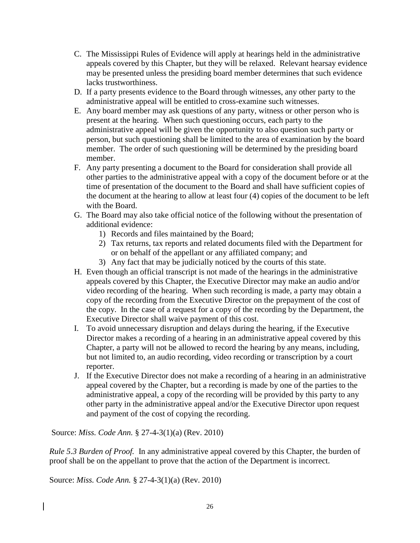- C. The Mississippi Rules of Evidence will apply at hearings held in the administrative appeals covered by this Chapter, but they will be relaxed. Relevant hearsay evidence may be presented unless the presiding board member determines that such evidence lacks trustworthiness.
- D. If a party presents evidence to the Board through witnesses, any other party to the administrative appeal will be entitled to cross-examine such witnesses.
- E. Any board member may ask questions of any party, witness or other person who is present at the hearing. When such questioning occurs, each party to the administrative appeal will be given the opportunity to also question such party or person, but such questioning shall be limited to the area of examination by the board member. The order of such questioning will be determined by the presiding board member.
- F. Any party presenting a document to the Board for consideration shall provide all other parties to the administrative appeal with a copy of the document before or at the time of presentation of the document to the Board and shall have sufficient copies of the document at the hearing to allow at least four (4) copies of the document to be left with the Board.
- G. The Board may also take official notice of the following without the presentation of additional evidence:
	- 1) Records and files maintained by the Board;
	- 2) Tax returns, tax reports and related documents filed with the Department for or on behalf of the appellant or any affiliated company; and
	- 3) Any fact that may be judicially noticed by the courts of this state.
- H. Even though an official transcript is not made of the hearings in the administrative appeals covered by this Chapter, the Executive Director may make an audio and/or video recording of the hearing. When such recording is made, a party may obtain a copy of the recording from the Executive Director on the prepayment of the cost of the copy. In the case of a request for a copy of the recording by the Department, the Executive Director shall waive payment of this cost.
- I. To avoid unnecessary disruption and delays during the hearing, if the Executive Director makes a recording of a hearing in an administrative appeal covered by this Chapter, a party will not be allowed to record the hearing by any means, including, but not limited to, an audio recording, video recording or transcription by a court reporter.
- J. If the Executive Director does not make a recording of a hearing in an administrative appeal covered by the Chapter, but a recording is made by one of the parties to the administrative appeal, a copy of the recording will be provided by this party to any other party in the administrative appeal and/or the Executive Director upon request and payment of the cost of copying the recording.

*Rule 5.3 Burden of Proof.* In any administrative appeal covered by this Chapter, the burden of proof shall be on the appellant to prove that the action of the Department is incorrect.

Source: *Miss. Code Ann.* § 27-4-3(1)(a) (Rev. 2010)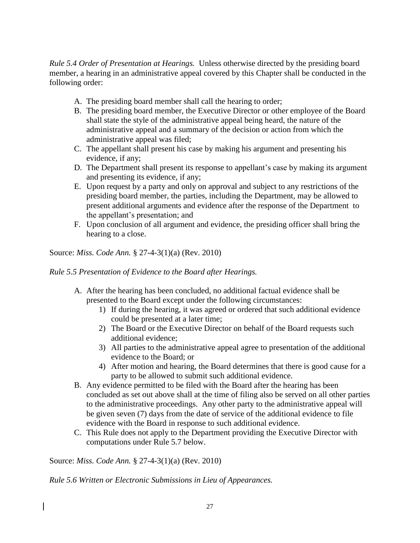*Rule 5.4 Order of Presentation at Hearings.* Unless otherwise directed by the presiding board member, a hearing in an administrative appeal covered by this Chapter shall be conducted in the following order:

- A. The presiding board member shall call the hearing to order;
- B. The presiding board member, the Executive Director or other employee of the Board shall state the style of the administrative appeal being heard, the nature of the administrative appeal and a summary of the decision or action from which the administrative appeal was filed;
- C. The appellant shall present his case by making his argument and presenting his evidence, if any;
- D. The Department shall present its response to appellant's case by making its argument and presenting its evidence, if any;
- E. Upon request by a party and only on approval and subject to any restrictions of the presiding board member, the parties, including the Department, may be allowed to present additional arguments and evidence after the response of the Department to the appellant's presentation; and
- F. Upon conclusion of all argument and evidence, the presiding officer shall bring the hearing to a close.

# Source: *Miss. Code Ann.* § 27-4-3(1)(a) (Rev. 2010)

### *Rule 5.5 Presentation of Evidence to the Board after Hearings.*

- A. After the hearing has been concluded, no additional factual evidence shall be presented to the Board except under the following circumstances:
	- 1) If during the hearing, it was agreed or ordered that such additional evidence could be presented at a later time;
	- 2) The Board or the Executive Director on behalf of the Board requests such additional evidence;
	- 3) All parties to the administrative appeal agree to presentation of the additional evidence to the Board; or
	- 4) After motion and hearing, the Board determines that there is good cause for a party to be allowed to submit such additional evidence.
- B. Any evidence permitted to be filed with the Board after the hearing has been concluded as set out above shall at the time of filing also be served on all other parties to the administrative proceedings. Any other party to the administrative appeal will be given seven (7) days from the date of service of the additional evidence to file evidence with the Board in response to such additional evidence.
- C. This Rule does not apply to the Department providing the Executive Director with computations under Rule 5.7 below.

Source: *Miss. Code Ann.* § 27-4-3(1)(a) (Rev. 2010)

*Rule 5.6 Written or Electronic Submissions in Lieu of Appearances.*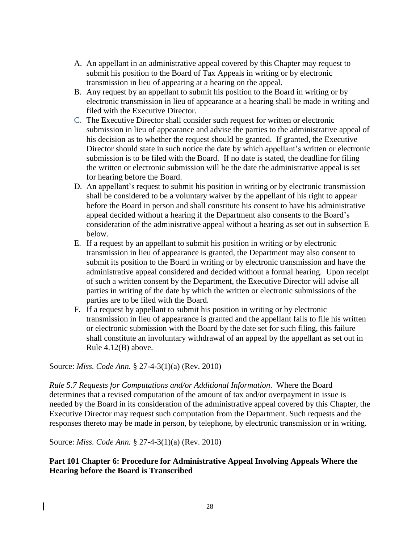- A. An appellant in an administrative appeal covered by this Chapter may request to submit his position to the Board of Tax Appeals in writing or by electronic transmission in lieu of appearing at a hearing on the appeal.
- B. Any request by an appellant to submit his position to the Board in writing or by electronic transmission in lieu of appearance at a hearing shall be made in writing and filed with the Executive Director.
- C. The Executive Director shall consider such request for written or electronic submission in lieu of appearance and advise the parties to the administrative appeal of his decision as to whether the request should be granted. If granted, the Executive Director should state in such notice the date by which appellant's written or electronic submission is to be filed with the Board. If no date is stated, the deadline for filing the written or electronic submission will be the date the administrative appeal is set for hearing before the Board.
- D. An appellant's request to submit his position in writing or by electronic transmission shall be considered to be a voluntary waiver by the appellant of his right to appear before the Board in person and shall constitute his consent to have his administrative appeal decided without a hearing if the Department also consents to the Board's consideration of the administrative appeal without a hearing as set out in subsection E below.
- E. If a request by an appellant to submit his position in writing or by electronic transmission in lieu of appearance is granted, the Department may also consent to submit its position to the Board in writing or by electronic transmission and have the administrative appeal considered and decided without a formal hearing. Upon receipt of such a written consent by the Department, the Executive Director will advise all parties in writing of the date by which the written or electronic submissions of the parties are to be filed with the Board.
- F. If a request by appellant to submit his position in writing or by electronic transmission in lieu of appearance is granted and the appellant fails to file his written or electronic submission with the Board by the date set for such filing, this failure shall constitute an involuntary withdrawal of an appeal by the appellant as set out in Rule 4.12(B) above.

*Rule 5.7 Requests for Computations and/or Additional Information*. Where the Board determines that a revised computation of the amount of tax and/or overpayment in issue is needed by the Board in its consideration of the administrative appeal covered by this Chapter, the Executive Director may request such computation from the Department. Such requests and the responses thereto may be made in person, by telephone, by electronic transmission or in writing.

Source: *Miss. Code Ann.* § 27-4-3(1)(a) (Rev. 2010)

## **Part 101 Chapter 6: Procedure for Administrative Appeal Involving Appeals Where the Hearing before the Board is Transcribed**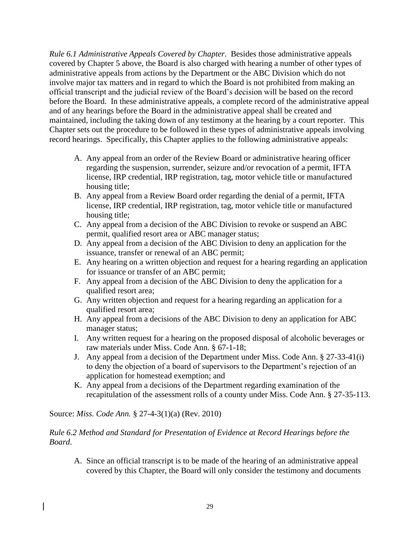*Rule 6.1 Administrative Appeals Covered by Chapter*. Besides those administrative appeals covered by Chapter 5 above, the Board is also charged with hearing a number of other types of administrative appeals from actions by the Department or the ABC Division which do not involve major tax matters and in regard to which the Board is not prohibited from making an official transcript and the judicial review of the Board's decision will be based on the record before the Board. In these administrative appeals, a complete record of the administrative appeal and of any hearings before the Board in the administrative appeal shall be created and maintained, including the taking down of any testimony at the hearing by a court reporter. This Chapter sets out the procedure to be followed in these types of administrative appeals involving record hearings. Specifically, this Chapter applies to the following administrative appeals:

- A. Any appeal from an order of the Review Board or administrative hearing officer regarding the suspension, surrender, seizure and/or revocation of a permit, IFTA license, IRP credential, IRP registration, tag, motor vehicle title or manufactured housing title;
- B. Any appeal from a Review Board order regarding the denial of a permit, IFTA license, IRP credential, IRP registration, tag, motor vehicle title or manufactured housing title;
- C. Any appeal from a decision of the ABC Division to revoke or suspend an ABC permit, qualified resort area or ABC manager status;
- D. Any appeal from a decision of the ABC Division to deny an application for the issuance, transfer or renewal of an ABC permit;
- E. Any hearing on a written objection and request for a hearing regarding an application for issuance or transfer of an ABC permit;
- F. Any appeal from a decision of the ABC Division to deny the application for a qualified resort area;
- G. Any written objection and request for a hearing regarding an application for a qualified resort area;
- H. Any appeal from a decisions of the ABC Division to deny an application for ABC manager status;
- I. Any written request for a hearing on the proposed disposal of alcoholic beverages or raw materials under Miss. Code Ann. § 67-1-18;
- J. Any appeal from a decision of the Department under Miss. Code Ann. § 27-33-41(i) to deny the objection of a board of supervisors to the Department's rejection of an application for homestead exemption; and
- K. Any appeal from a decisions of the Department regarding examination of the recapitulation of the assessment rolls of a county under Miss. Code Ann. § 27-35-113.

Source: *Miss. Code Ann.* § 27-4-3(1)(a) (Rev. 2010)

# *Rule 6.2 Method and Standard for Presentation of Evidence at Record Hearings before the Board*.

A. Since an official transcript is to be made of the hearing of an administrative appeal covered by this Chapter, the Board will only consider the testimony and documents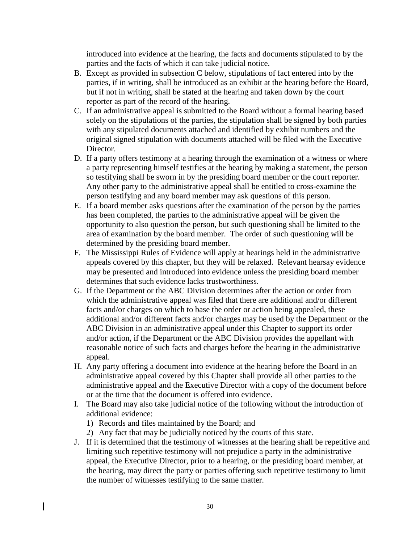introduced into evidence at the hearing, the facts and documents stipulated to by the parties and the facts of which it can take judicial notice.

- B. Except as provided in subsection C below, stipulations of fact entered into by the parties, if in writing, shall be introduced as an exhibit at the hearing before the Board, but if not in writing, shall be stated at the hearing and taken down by the court reporter as part of the record of the hearing.
- C. If an administrative appeal is submitted to the Board without a formal hearing based solely on the stipulations of the parties, the stipulation shall be signed by both parties with any stipulated documents attached and identified by exhibit numbers and the original signed stipulation with documents attached will be filed with the Executive Director.
- D. If a party offers testimony at a hearing through the examination of a witness or where a party representing himself testifies at the hearing by making a statement, the person so testifying shall be sworn in by the presiding board member or the court reporter. Any other party to the administrative appeal shall be entitled to cross-examine the person testifying and any board member may ask questions of this person.
- E. If a board member asks questions after the examination of the person by the parties has been completed, the parties to the administrative appeal will be given the opportunity to also question the person, but such questioning shall be limited to the area of examination by the board member. The order of such questioning will be determined by the presiding board member.
- F. The Mississippi Rules of Evidence will apply at hearings held in the administrative appeals covered by this chapter, but they will be relaxed. Relevant hearsay evidence may be presented and introduced into evidence unless the presiding board member determines that such evidence lacks trustworthiness.
- G. If the Department or the ABC Division determines after the action or order from which the administrative appeal was filed that there are additional and/or different facts and/or charges on which to base the order or action being appealed, these additional and/or different facts and/or charges may be used by the Department or the ABC Division in an administrative appeal under this Chapter to support its order and/or action, if the Department or the ABC Division provides the appellant with reasonable notice of such facts and charges before the hearing in the administrative appeal.
- H. Any party offering a document into evidence at the hearing before the Board in an administrative appeal covered by this Chapter shall provide all other parties to the administrative appeal and the Executive Director with a copy of the document before or at the time that the document is offered into evidence.
- I. The Board may also take judicial notice of the following without the introduction of additional evidence:
	- 1) Records and files maintained by the Board; and
	- 2) Any fact that may be judicially noticed by the courts of this state.
- J. If it is determined that the testimony of witnesses at the hearing shall be repetitive and limiting such repetitive testimony will not prejudice a party in the administrative appeal, the Executive Director, prior to a hearing, or the presiding board member, at the hearing, may direct the party or parties offering such repetitive testimony to limit the number of witnesses testifying to the same matter.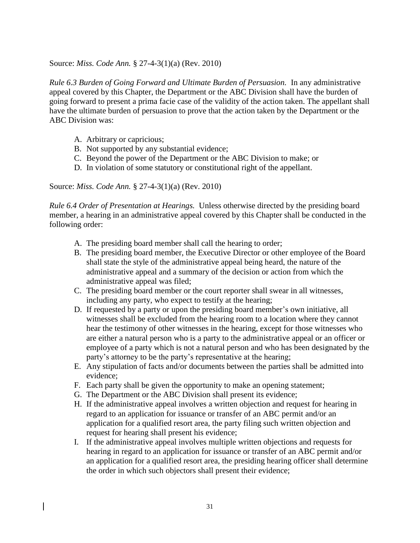*Rule 6.3 Burden of Going Forward and Ultimate Burden of Persuasion.* In any administrative appeal covered by this Chapter, the Department or the ABC Division shall have the burden of going forward to present a prima facie case of the validity of the action taken. The appellant shall have the ultimate burden of persuasion to prove that the action taken by the Department or the ABC Division was:

- A. Arbitrary or capricious;
- B. Not supported by any substantial evidence;
- C. Beyond the power of the Department or the ABC Division to make; or
- D. In violation of some statutory or constitutional right of the appellant.

Source: *Miss. Code Ann.* § 27-4-3(1)(a) (Rev. 2010)

*Rule 6.4 Order of Presentation at Hearings.* Unless otherwise directed by the presiding board member, a hearing in an administrative appeal covered by this Chapter shall be conducted in the following order:

- A. The presiding board member shall call the hearing to order;
- B. The presiding board member, the Executive Director or other employee of the Board shall state the style of the administrative appeal being heard, the nature of the administrative appeal and a summary of the decision or action from which the administrative appeal was filed;
- C. The presiding board member or the court reporter shall swear in all witnesses, including any party, who expect to testify at the hearing;
- D. If requested by a party or upon the presiding board member's own initiative, all witnesses shall be excluded from the hearing room to a location where they cannot hear the testimony of other witnesses in the hearing, except for those witnesses who are either a natural person who is a party to the administrative appeal or an officer or employee of a party which is not a natural person and who has been designated by the party's attorney to be the party's representative at the hearing;
- E. Any stipulation of facts and/or documents between the parties shall be admitted into evidence;
- F. Each party shall be given the opportunity to make an opening statement;
- G. The Department or the ABC Division shall present its evidence;
- H. If the administrative appeal involves a written objection and request for hearing in regard to an application for issuance or transfer of an ABC permit and/or an application for a qualified resort area, the party filing such written objection and request for hearing shall present his evidence;
- I. If the administrative appeal involves multiple written objections and requests for hearing in regard to an application for issuance or transfer of an ABC permit and/or an application for a qualified resort area, the presiding hearing officer shall determine the order in which such objectors shall present their evidence;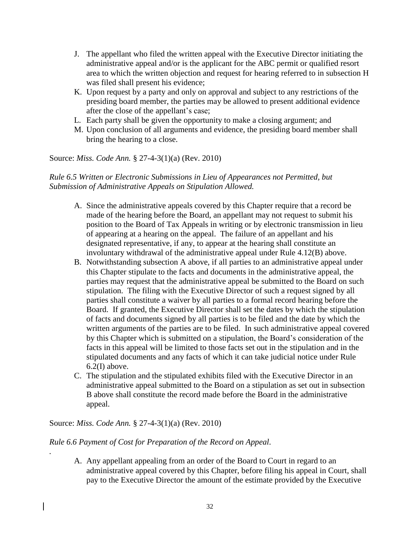- J. The appellant who filed the written appeal with the Executive Director initiating the administrative appeal and/or is the applicant for the ABC permit or qualified resort area to which the written objection and request for hearing referred to in subsection H was filed shall present his evidence;
- K. Upon request by a party and only on approval and subject to any restrictions of the presiding board member, the parties may be allowed to present additional evidence after the close of the appellant's case;
- L. Each party shall be given the opportunity to make a closing argument; and
- M. Upon conclusion of all arguments and evidence, the presiding board member shall bring the hearing to a close.

## *Rule 6.5 Written or Electronic Submissions in Lieu of Appearances not Permitted, but Submission of Administrative Appeals on Stipulation Allowed.*

- A. Since the administrative appeals covered by this Chapter require that a record be made of the hearing before the Board, an appellant may not request to submit his position to the Board of Tax Appeals in writing or by electronic transmission in lieu of appearing at a hearing on the appeal. The failure of an appellant and his designated representative, if any, to appear at the hearing shall constitute an involuntary withdrawal of the administrative appeal under Rule 4.12(B) above.
- B. Notwithstanding subsection A above, if all parties to an administrative appeal under this Chapter stipulate to the facts and documents in the administrative appeal, the parties may request that the administrative appeal be submitted to the Board on such stipulation. The filing with the Executive Director of such a request signed by all parties shall constitute a waiver by all parties to a formal record hearing before the Board. If granted, the Executive Director shall set the dates by which the stipulation of facts and documents signed by all parties is to be filed and the date by which the written arguments of the parties are to be filed. In such administrative appeal covered by this Chapter which is submitted on a stipulation, the Board's consideration of the facts in this appeal will be limited to those facts set out in the stipulation and in the stipulated documents and any facts of which it can take judicial notice under Rule 6.2(I) above.
- C. The stipulation and the stipulated exhibits filed with the Executive Director in an administrative appeal submitted to the Board on a stipulation as set out in subsection B above shall constitute the record made before the Board in the administrative appeal.

### Source: *Miss. Code Ann.* § 27-4-3(1)(a) (Rev. 2010)

*.*

### *Rule 6.6 Payment of Cost for Preparation of the Record on Appeal.*

A. Any appellant appealing from an order of the Board to Court in regard to an administrative appeal covered by this Chapter, before filing his appeal in Court, shall pay to the Executive Director the amount of the estimate provided by the Executive